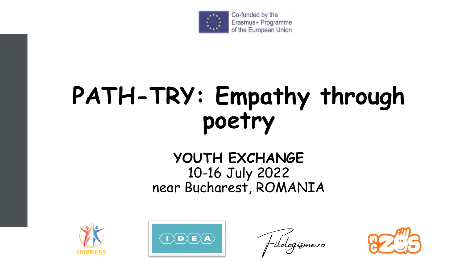

Co-funded by the Erasmus+ Programme of the European Union

# **PATH-TRY: Empathy through poetry**

#### **YOUTH EXCHANGE** 10-16 July 2022 near Bucharest, ROMANIA





-ilologisme.ro

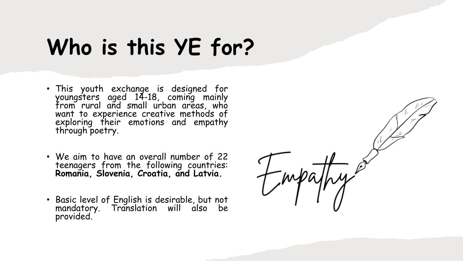## **Who is this YE for?**

- This youth exchange is designed for youngsters aged 14-18, coming mainly from rural and small urban areas, who want to experience creative methods of exploring their emotions and empathy through poetry.
- We aim to have an overall number of 22 teenagers from the following countries: **Romania, Slovenia, Croatia, and Latvia.**
- Basic level of English is desirable, but not mandatory. Translation will also be provided.

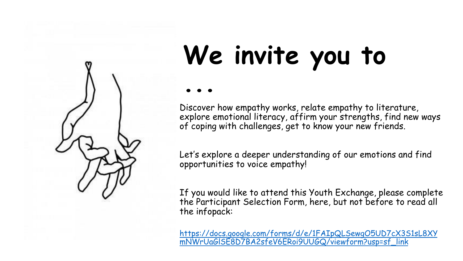

## **We invite you to ...**

Discover how empathy works, relate empathy to literature, explore emotional literacy, affirm your strengths, find new ways of coping with challenges, get to know your new friends.

Let's explore a deeper understanding of our emotions and find opportunities to voice empathy!

If you would like to attend this Youth Exchange, please complete the Participant Selection Form, here, but not before to read all the infopack:

[https://docs.google.com/forms/d/e/1FAIpQLSewgO5UD7cX3S1sL8XY](https://docs.google.com/forms/d/e/1FAIpQLSewgO5UD7cX3S1sL8XYmNWrUaGlSE8D7BA2sfeV6ERoi9UUGQ/viewform?usp=sf_link) mNWrUaGlSE8D7BA2sfeV6ERoi9UUGQ/viewform?usp=sf\_link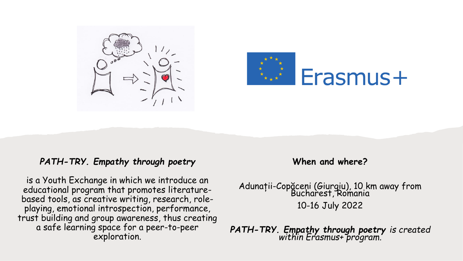



#### *PATH-TRY. Empathy through poetry*

is a Youth Exchange in which we introduce an educational program that promotes literaturebased tools, as creative writing, research, roleplaying, emotional introspection, performance, trust building and group awareness, thus creating a safe learning space for a peer-to-peer exploration.

**When and where?**

Adunații-Copăceni (Giurgiu), 10 km away from Bucharest, Romania 10-16 July 2022

*PATH-TRY. Empathy through poetry is created within Erasmus+ program.*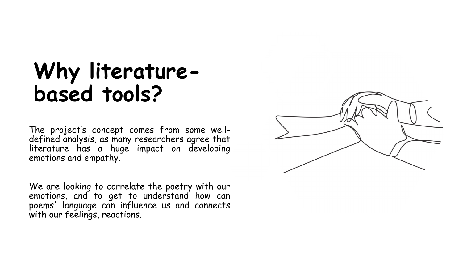#### **Why literaturebased tools?**

The project's concept comes from some welldefined analysis, as many researchers agree that literature has a huge impact on developing emotions and empathy.

We are looking to correlate the poetry with our emotions, and to get to understand how can poems' language can influence us and connects with our feelings, reactions.

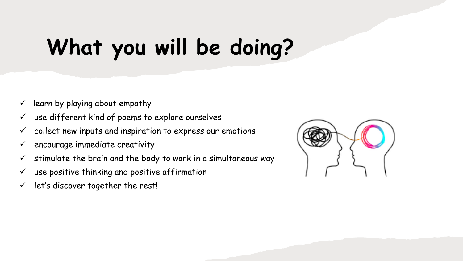## **What you will be doing?**

- $\checkmark$  learn by playing about empathy
- $\checkmark$  use different kind of poems to explore ourselves
- $\checkmark$  collect new inputs and inspiration to express our emotions
- $\checkmark$  encourage immediate creativity
- $\checkmark$  stimulate the brain and the body to work in a simultaneous way
- $\checkmark$  use positive thinking and positive affirmation
- $\checkmark$  let's discover together the rest!

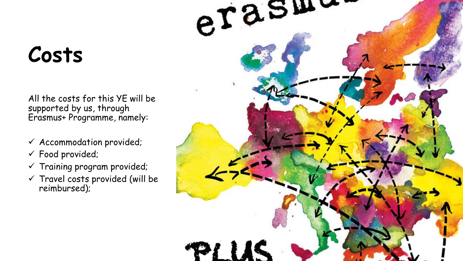## **Costs**

All the costs for this YE will be supported by us, through Erasmus+ Programme, namely:

- ✓ Accommodation provided;
- ✓ Food provided;
- ✓ Training program provided;
- $\checkmark$  Travel costs provided (will be reimbursed);

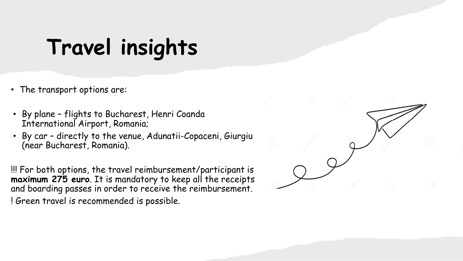#### **Travel insights**

- The transport options are:
- By plane flights to Bucharest, Henri Coanda International Airport, Romania;
- By car directly to the venue, Adunatii-Copaceni, Giurgiu (near Bucharest, Romania).

!!! For both options, the travel reimbursement/participant is **maximum 275 euro**. It is mandatory to keep all the receipts and boarding passes in order to receive the reimbursement. ! Green travel is recommended is possible.

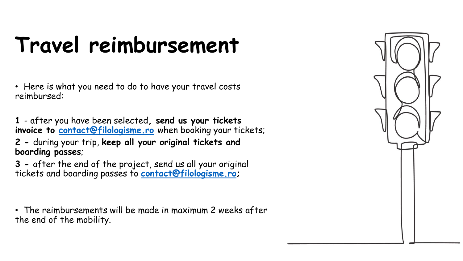## **Travel reimbursement**

• Here is what you need to do to have your travel costs reimbursed:

**1** - after you have been selected**, send us your tickets invoice to [contact@filologisme.ro](mailto:contact@filologisme.ro)** when booking your tickets;

**2 -** during your trip, **keep all your original tickets and boarding passes**;

**3 -** after the end of the project, send us all your original tickets and boarding passes to **[contact@filologisme.ro](mailto:contact@filologisme.ro);**

• The reimbursements will be made in maximum 2 weeks after the end of the mobility.

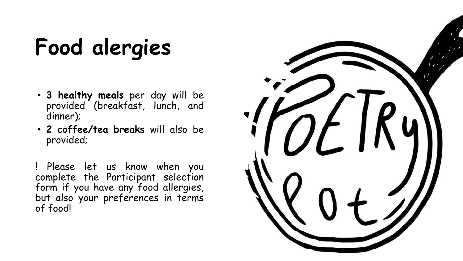# **Food alergies**

- **3 healthy meals** per day will be provided (breakfast, lunch, and dinner);
- **2 coffee/tea breaks** will also be provided;

! Please let us know when you complete the Participant selection form if you have any food allergies, but also your preferences in terms of food!

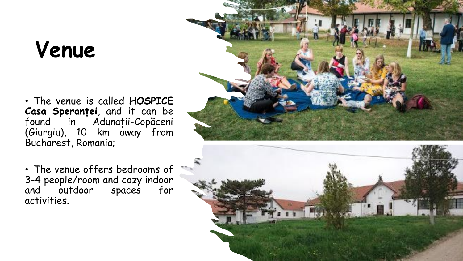## **Venue**

• The venue is called **HOSPICE Casa Speranței**, and it can be found in Adunații-Copăceni (Giurgiu), 10 km away from Bucharest, Romania;

• The venue offers bedrooms of 3-4 people/room and cozy indoor and outdoor spaces for activities.



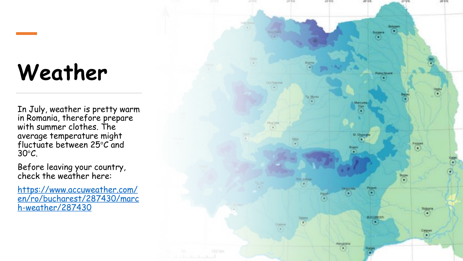## **Weather**

In July, weather is pretty warm in Romania, therefore prepare with summer clothes. The average temperature might fluctuate between 25°C and 30°C.

Before leaving your country, check the weather here:

https://www.accuweather.com/ [en/ro/bucharest/287430/marc](https://www.accuweather.com/en/ro/bucharest/287430/march-weather/287430) h-weather/287430

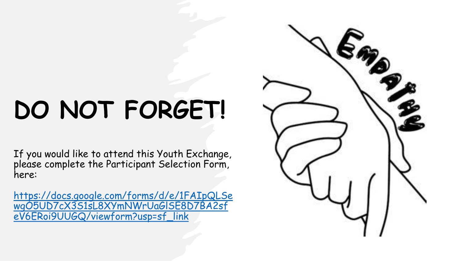# **DO NOT FORGET!**

If you would like to attend this Youth Exchange, please complete the Participant Selection Form, here:

[https://docs.google.com/forms/d/e/1FAIpQLSe](https://docs.google.com/forms/d/e/1FAIpQLSewgO5UD7cX3S1sL8XYmNWrUaGlSE8D7BA2sfeV6ERoi9UUGQ/viewform?usp=sf_link) wgO5UD7cX3S1sL8XYmNWrUaGlSE8D7BA2sf eV6ERoi9UUGQ/viewform?usp=sf\_link

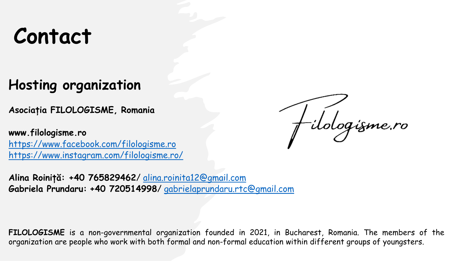#### **Contact**

#### **Hosting organization**

**Asociația FILOLOGISME, Romania**

**www.filologisme.ro** <https://www.facebook.com/filologisme.ro> <https://www.instagram.com/filologisme.ro/>

f-ilologísme.ro

**Alina Roiniță: +40 765829462**/ [alina.roinita12@gmail.com](mailto:alina.roinita12@gmail.com) **Gabriela Prundaru: +40 720514998**/ [gabrielaprundaru.rtc@gmail.com](mailto:gabrielaprundaru.rtc@gmail.com)

**FILOLOGISME** is a non-governmental organization founded in 2021, in Bucharest, Romania. The members of the organization are people who work with both formal and non-formal education within different groups of youngsters.